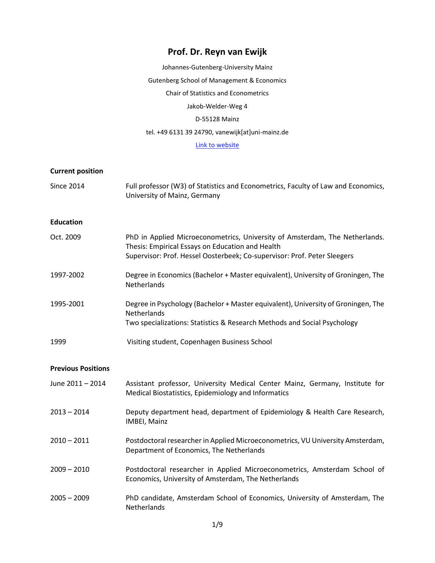# **Prof. Dr. Reyn van Ewijk**

Johannes-Gutenberg-University Mainz Gutenberg School of Management & Economics Chair of Statistics and Econometrics Jakob-Welder-Weg 4 D-55128 Mainz tel. +49 6131 39 24790, vanewijk[at]uni-mainz.de

# [Link to website](https://www.econometrics.economics.uni-mainz.de/prof-dr-reyn-van-ewijk/)

# **Current position**

| <b>Since 2014</b>         | Full professor (W3) of Statistics and Econometrics, Faculty of Law and Economics,<br>University of Mainz, Germany                                                                                           |
|---------------------------|-------------------------------------------------------------------------------------------------------------------------------------------------------------------------------------------------------------|
| <b>Education</b>          |                                                                                                                                                                                                             |
| Oct. 2009                 | PhD in Applied Microeconometrics, University of Amsterdam, The Netherlands.<br>Thesis: Empirical Essays on Education and Health<br>Supervisor: Prof. Hessel Oosterbeek; Co-supervisor: Prof. Peter Sleegers |
| 1997-2002                 | Degree in Economics (Bachelor + Master equivalent), University of Groningen, The<br>Netherlands                                                                                                             |
| 1995-2001                 | Degree in Psychology (Bachelor + Master equivalent), University of Groningen, The<br>Netherlands<br>Two specializations: Statistics & Research Methods and Social Psychology                                |
| 1999                      | Visiting student, Copenhagen Business School                                                                                                                                                                |
| <b>Previous Positions</b> |                                                                                                                                                                                                             |
| June 2011 - 2014          | Assistant professor, University Medical Center Mainz, Germany, Institute for<br>Medical Biostatistics, Epidemiology and Informatics                                                                         |
| $2013 - 2014$             | Deputy department head, department of Epidemiology & Health Care Research,<br>IMBEI, Mainz                                                                                                                  |
| $2010 - 2011$             | Postdoctoral researcher in Applied Microeconometrics, VU University Amsterdam,<br>Department of Economics, The Netherlands                                                                                  |
| $2009 - 2010$             | Postdoctoral researcher in Applied Microeconometrics, Amsterdam School of<br>Economics, University of Amsterdam, The Netherlands                                                                            |
| $2005 - 2009$             | PhD candidate, Amsterdam School of Economics, University of Amsterdam, The<br>Netherlands                                                                                                                   |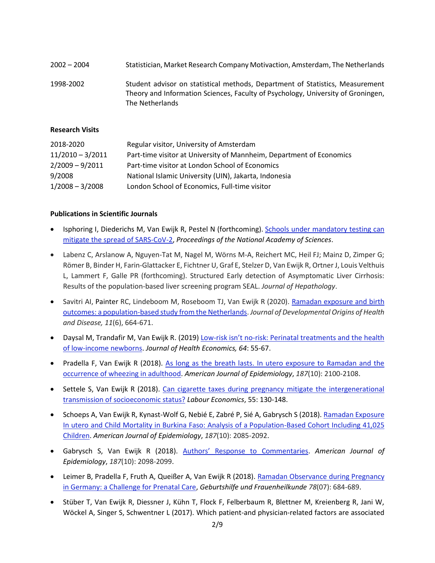| $2002 - 2004$ | Statistician, Market Research Company Motivaction, Amsterdam, The Netherlands                                                                                                        |
|---------------|--------------------------------------------------------------------------------------------------------------------------------------------------------------------------------------|
| 1998-2002     | Student advisor on statistical methods, Department of Statistics, Measurement<br>Theory and Information Sciences, Faculty of Psychology, University of Groningen,<br>The Netherlands |

#### **Research Visits**

| 2018-2020          | Regular visitor, University of Amsterdam                             |
|--------------------|----------------------------------------------------------------------|
| $11/2010 - 3/2011$ | Part-time visitor at University of Mannheim, Department of Economics |
| $2/2009 - 9/2011$  | Part-time visitor at London School of Economics                      |
| 9/2008             | National Islamic University (UIN), Jakarta, Indonesia                |
| $1/2008 - 3/2008$  | London School of Economics, Full-time visitor                        |

#### **Publications in Scientific Journals**

- Isphoring I, Diederichs M, Van Ewijk R, Pestel N (forthcoming). [Schools under mandatory testing can](https://docs.iza.org/dp14844.pdf)  [mitigate the spread of SARS-CoV-2,](https://docs.iza.org/dp14844.pdf) *Proceedings of the National Academy of Sciences*.
- Labenz C, Arslanow A, Nguyen-Tat M, Nagel M, Wörns M-A, Reichert MC, Heil FJ; Mainz D, Zimper G; Römer B, Binder H, Farin-Glattacker E, Fichtner U, Graf E, Stelzer D, Van Ewijk R, Ortner J, Louis Velthuis L, Lammert F, Galle PR (forthcoming). Structured Early detection of Asymptomatic Liver Cirrhosis: Results of the population-based liver screening program SEAL. *Journal of Hepathology*.
- Savitri AI, Painter RC, Lindeboom M, Roseboom TJ, Van Ewijk R (2020). [Ramadan exposure and birth](https://www.cambridge.org/core/journals/journal-of-developmental-origins-of-health-and-disease/article/ramadan-exposure-and-birth-outcomes-a-populationbased-study-from-the-netherlands/B63D37EDD78063C6F14BFD865D029463)  [outcomes: a population-based study from the Netherlands.](https://www.cambridge.org/core/journals/journal-of-developmental-origins-of-health-and-disease/article/ramadan-exposure-and-birth-outcomes-a-populationbased-study-from-the-netherlands/B63D37EDD78063C6F14BFD865D029463) *Journal of Developmental Origins of Health and Disease, 11*(6), 664-671.
- Daysal M, Trandafir M, Van Ewijk R. (2019) Low-risk isn't no[-risk: Perinatal treatments and the health](https://www.researchgate.net/publication/330835494_Low-risk_isn%27t_no-risk_Perinatal_treatments_and_the_health_of_low-income_newborns)  [of low-income newborns.](https://www.researchgate.net/publication/330835494_Low-risk_isn%27t_no-risk_Perinatal_treatments_and_the_health_of_low-income_newborns) *Journal of Health Economics, 64*: 55-67.
- Pradella F, Van Ewijk R (2018). As long as the breath lasts. In utero exposure to Ramadan and the [occurrence of wheezing in adulthood.](https://academic.oup.com/aje/advance-article/doi/10.1093/aje/kwy132/5046841) *American Journal of Epidemiology*, *187*(10): 2100-2108.
- Settele S, Van Ewijk R (2018). Can cigarette taxes during pregnancy mitigate the intergenerational [transmission of socioeconomic status?](https://www.sciencedirect.com/science/article/abs/pii/S0927537118300940) *Labour Economics*, 55: 130-148.
- Schoeps A, Van Ewijk R, Kynast-Wolf G, Nebié E, Zabré P, Sié A, Gabrysch S (2018). Ramadan Exposure [In utero and Child Mortality in Burkina Faso: Analysis of a Population-Based Cohort Including 41,025](https://academic.oup.com/aje/advance-article/doi/10.1093/aje/kwy091/4993217?guestAccessKey=e3804695-aac5-4f75-b5e7-d6ad1ae36cb5)  [Children.](https://academic.oup.com/aje/advance-article/doi/10.1093/aje/kwy091/4993217?guestAccessKey=e3804695-aac5-4f75-b5e7-d6ad1ae36cb5) *American Journal of Epidemiology*, *187*(10): 2085-2092.
- Gabrysch S, Van Ewijk R (2018). Authors' Res[ponse to Commentaries.](https://academic.oup.com/aje/advance-article/doi/10.1093/aje/kwy090/4993216?guestAccessKey=fa8dd3f0-9bb7-4395-ae77-6292b336d54a) *American Journal of Epidemiology*, *187*(10): 2098-2099.
- Leimer B, Pradella F, Fruth A, Queißer A, Van Ewijk R (2018). Ramadan Observance during Pregnancy [in Germany: a Challenge for Prenatal Care,](https://www.thieme-connect.com/products/ejournals/abstract/10.1055/a-0633-1720) *Geburtshilfe und Frauenheilkunde 78*(07): 684-689.
- Stüber T, Van Ewijk R, Diessner J, Kühn T, Flock F, Felberbaum R, Blettner M, Kreienberg R, Jani W, Wöckel A, Singer S, Schwentner L (2017). Which patient-and physician-related factors are associated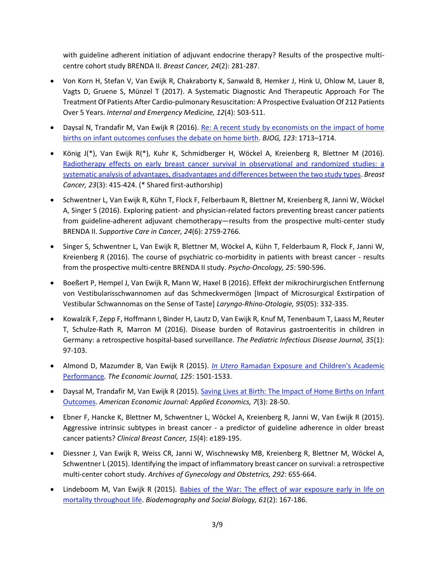with guideline adherent initiation of adjuvant endocrine therapy? Results of the prospective multicentre cohort study BRENDA II. *Breast Cancer, 24*(2): 281-287.

- Von Korn H, Stefan V, Van Ewijk R, Chakraborty K, Sanwald B, Hemker J, Hink U, Ohlow M, Lauer B, Vagts D, Gruene S, Münzel T (2017). A Systematic Diagnostic And Therapeutic Approach For The Treatment Of Patients After Cardio-pulmonary Resuscitation: A Prospective Evaluation Of 212 Patients Over 5 Years. *Internal and Emergency Medicine, 12*(4): 503-511.
- Daysal N, Trandafir M, Van Ewijk R (2016). [Re: A recent study by economists on the impact of home](https://www.researchgate.net/profile/Reyn_Ewijk/publication/306272127_Re_A_recent_study_by_economists_on_the_impact_of_home_births_on_infant_outcomes_confuses_the_debate_on_home_birth/links/596f32630f7e9bee50e5b507/Re-A-recent-study-by-economists-on-the-impact-of-home-births-on-infant-outcomes-confuses-the-debate-on-home-birth.pdf?_iepl%5BhomeFeedViewId%5D=OMfTxq336f06QrWXvGcH2WjH&_iepl%5Bcontexts%5D%5B0%5D=pcfhf&_iepl%5BinteractionType%5D=publicationDownload&origin=publication_detail&ev=pub_int_prw_xdl&msrp=uqgRiwECh367VQyLYbDDEhjPHVJbMqnBf7w806z_qz6BW6SgZ624QXjXyK_FW-i3b_6a2J3ZBfjpheqObxVLFkQbt4EYnM5P_wePtQ84e15R8lDLqfzl4X6F.VSXJXFkKN-2PObhvVmDm8bDTLCjBzOqlFo6PZDELyf607tfWl5noHTldg8s7IUOPmrlvq1wyPiw34Pi1M02UTwW6Y02mNdsFm6IVBQ.jcdqBWsnyCV-C1YphyEJriebAvOpCcvbzMOrtJhH3750yuTeLs-mhg_bF1PlHW24K4-u3Z929COkZubahshuS_zfVc3fQVhAFPi-vQ.AwtCfrvwq4eUuG30XRbL9dYR9zvjp0_YhcA98kcT_y3O-15D3IuW3GovwmKnVg_K4s7Sgmmk-_Z4OzXkLty1K4RhSpeuqV4aRitQOg)  [births on infant outcomes confuses the debate on home birth.](https://www.researchgate.net/profile/Reyn_Ewijk/publication/306272127_Re_A_recent_study_by_economists_on_the_impact_of_home_births_on_infant_outcomes_confuses_the_debate_on_home_birth/links/596f32630f7e9bee50e5b507/Re-A-recent-study-by-economists-on-the-impact-of-home-births-on-infant-outcomes-confuses-the-debate-on-home-birth.pdf?_iepl%5BhomeFeedViewId%5D=OMfTxq336f06QrWXvGcH2WjH&_iepl%5Bcontexts%5D%5B0%5D=pcfhf&_iepl%5BinteractionType%5D=publicationDownload&origin=publication_detail&ev=pub_int_prw_xdl&msrp=uqgRiwECh367VQyLYbDDEhjPHVJbMqnBf7w806z_qz6BW6SgZ624QXjXyK_FW-i3b_6a2J3ZBfjpheqObxVLFkQbt4EYnM5P_wePtQ84e15R8lDLqfzl4X6F.VSXJXFkKN-2PObhvVmDm8bDTLCjBzOqlFo6PZDELyf607tfWl5noHTldg8s7IUOPmrlvq1wyPiw34Pi1M02UTwW6Y02mNdsFm6IVBQ.jcdqBWsnyCV-C1YphyEJriebAvOpCcvbzMOrtJhH3750yuTeLs-mhg_bF1PlHW24K4-u3Z929COkZubahshuS_zfVc3fQVhAFPi-vQ.AwtCfrvwq4eUuG30XRbL9dYR9zvjp0_YhcA98kcT_y3O-15D3IuW3GovwmKnVg_K4s7Sgmmk-_Z4OzXkLty1K4RhSpeuqV4aRitQOg) *BJOG, 123*: 1713–1714.
- König J(\*), Van Ewijk R(\*), Kuhr K, Schmidberger H, Wöckel A, Kreienberg R, Blettner M (2016). [Radiotherapy effects on early breast cancer survival in observational and randomized studies: a](https://www.researchgate.net/publication/270966122_Radiotherapy_effects_on_early_breast_cancer_survival_in_observational_and_randomized_studies_a_systematic_analysis_of_advantages_disadvantages_and_differences_between_the_two_study_types)  [systematic analysis of advantages, disadvantages and differences between the two study types.](https://www.researchgate.net/publication/270966122_Radiotherapy_effects_on_early_breast_cancer_survival_in_observational_and_randomized_studies_a_systematic_analysis_of_advantages_disadvantages_and_differences_between_the_two_study_types) *Breast Cancer, 23*(3): 415-424. (\* Shared first-authorship)
- Schwentner L, Van Ewijk R, Kühn T, Flock F, Felberbaum R, Blettner M, Kreienberg R, Janni W, Wöckel A, Singer S (2016). Exploring patient- and physician-related factors preventing breast cancer patients from guideline-adherent adjuvant chemotherapy—results from the prospective multi-center study BRENDA II. *Supportive Care in Cancer, 24*(6): 2759-2766.
- Singer S, Schwentner L, Van Ewijk R, Blettner M, Wöckel A, Kühn T, Felderbaum R, Flock F, Janni W, Kreienberg R (2016). The course of psychiatric co-morbidity in patients with breast cancer - results from the prospective multi-centre BRENDA II study. *Psycho-Oncology, 25*: 590-596.
- Boeßert P, Hempel J, Van Ewijk R, Mann W, Haxel B (2016). Effekt der mikrochirurgischen Entfernung von Vestibularisschwannomen auf das Schmeckvermögen [Impact of Microsurgical Exstirpation of Vestibular Schwannomas on the Sense of Taste] *Laryngo-Rhino-Otologie, 95*(05): 332-335.
- Kowalzik F, Zepp F, Hoffmann I, Binder H, Lautz D, Van Ewijk R, Knuf M, Tenenbaum T, Laass M, Reuter T, Schulze-Rath R, Marron M (2016). Disease burden of Rotavirus gastroenteritis in children in Germany: a retrospective hospital-based surveillance. *The Pediatric Infectious Disease Journal, 35*(1): 97-103.
- Almond D, Mazumder B, Van Ewijk R (2015). *In Utero* [Ramadan Exposure and Children's Academic](https://www.researchgate.net/publication/262809554_In_Utero_Ramadan_Exposure_and_Children)  [Performance](https://www.researchgate.net/publication/262809554_In_Utero_Ramadan_Exposure_and_Children)*. The Economic Journal, 125*: 1501-1533.
- Daysal M, Trandafir M, Van Ewijk R (2015)[. Saving Lives at Birth: The Impact of Home Births on Infant](https://www.researchgate.net/publication/302960065_Saving_Lives_at_Birth_The_Impact_of_Home_Births_on_Infant_Outcomes)  [Outcomes.](https://www.researchgate.net/publication/302960065_Saving_Lives_at_Birth_The_Impact_of_Home_Births_on_Infant_Outcomes) *American Economic Journal: Applied Economics, 7*(3): 28-50.
- Ebner F, Hancke K, Blettner M, Schwentner L, Wöckel A, Kreienberg R, Janni W, Van Ewijk R (2015). Aggressive intrinsic subtypes in breast cancer - a predictor of guideline adherence in older breast cancer patients? *Clinical Breast Cancer, 15*(4): e189-195.
- Diessner J, Van Ewijk R, Weiss CR, Janni W, Wischnewsky MB, Kreienberg R, Blettner M, Wöckel A, Schwentner L (2015). Identifying the impact of inflammatory breast cancer on survival: a retrospective multi-center cohort study. *Archives of Gynecology and Obstetrics, 292*: 655-664.
- Lindeboom M, Van Ewijk R (2015). [Babies of the War: The effect of war exposure early in life on](https://www.researchgate.net/publication/280998862_Babies_of_the_War_The_Effect_of_War_Exposure_Early_in_Life_on_Mortality_Throughout_Life)  [mortality throughout life.](https://www.researchgate.net/publication/280998862_Babies_of_the_War_The_Effect_of_War_Exposure_Early_in_Life_on_Mortality_Throughout_Life) *Biodemography and Social Biology, 61*(2): 167-186.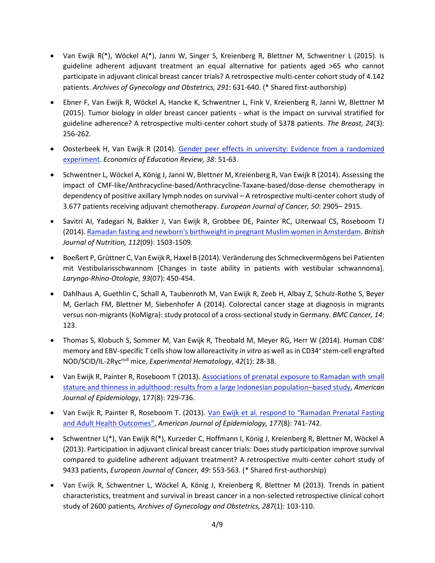- Van Ewijk R(\*), Wöckel A(\*), Janni W, Singer S, Kreienberg R, Blettner M, Schwentner L (2015). Is guideline adherent adjuvant treatment an equal alternative for patients aged >65 who cannot participate in adjuvant clinical breast cancer trials? A retrospective multi-center cohort study of 4.142 patients. *Archives of Gynecology and Obstetrics, 291*: 631-640. (\* Shared first-authorship)
- Ebner F, Van Ewijk R, Wöckel A, Hancke K, Schwentner L, Fink V, Kreienberg R, Janni W, Blettner M (2015). Tumor biology in older breast cancer patients - what is the impact on survival stratified for guideline adherence? A retrospective multi-center cohort study of 5378 patients. *The Breast, 24*(3): 256-262.
- Oosterbeek H, Van Ewijk R (2014). [Gender peer effects in university: Evidence from a randomized](https://www.researchgate.net/publication/228303970_Gender_Peer_Effects_in_University_Evidence_from_a_Randomized_Experiment?_iepl%5BviewId%5D=OMfTxq336f06QrWXvGcH2WjH&_iepl%5BprofilePublicationItemVariant%5D=default&_iepl%5Bcontexts%5D%5B0%5D=prfpi&_iepl%5BtargetEntityId%5D=PB%3A228303970&_iepl%5BinteractionType%5D=publicationTitle)  [experiment.](https://www.researchgate.net/publication/228303970_Gender_Peer_Effects_in_University_Evidence_from_a_Randomized_Experiment?_iepl%5BviewId%5D=OMfTxq336f06QrWXvGcH2WjH&_iepl%5BprofilePublicationItemVariant%5D=default&_iepl%5Bcontexts%5D%5B0%5D=prfpi&_iepl%5BtargetEntityId%5D=PB%3A228303970&_iepl%5BinteractionType%5D=publicationTitle) *Economics of Education Review, 38*: 51-63.
- Schwentner L, Wöckel A, König J, Janni W, Blettner M, Kreienberg R, Van Ewijk R (2014). Assessing the impact of CMF-like/Anthracycline-based/Anthracycline-Taxane-based/dose-dense chemotherapy in dependency of positive axillary lymph nodes on survival – A retrospective multi-center cohort study of 3.677 patients receiving adjuvant chemotherapy. *European Journal of Cancer, 50*: 2905– 2915.
- Savitri AI, Yadegari N, Bakker J, Van Ewijk R, Grobbee DE, Painter RC, Uiterwaal CS, Roseboom TJ (2014)[. Ramadan fasting and newborn's birthweight in pregnant Muslim women in Amsterdam.](https://www.researchgate.net/publication/265792720_Ramadan_fasting_and_newborn%27s_birth_weight_in_pregnant_Muslim_women_in_The_Netherlands) *British Journal of Nutrition, 112*(09): 1503-1509*.*
- Boeßert P, Grüttner C, Van Ewijk R, Haxel B (2014). Veränderung des Schmeckvermögens bei Patienten mit Vestibularisschwannom [Changes in taste ability in patients with vestibular schwannoma]. *Laryngo-Rhino-Otologie, 93*(07): 450-454.
- Dahlhaus A, Guethlin C, Schall A, Taubenroth M, Van Ewijk R, Zeeb H, Albay Z, Schulz-Rothe S, Beyer M, Gerlach FM, Blettner M, Siebenhofer A (2014). Colorectal cancer stage at diagnosis in migrants versus non-migrants (KoMigra): study protocol of a cross-sectional study in Germany. *BMC Cancer, 14*: 123.
- Thomas S, Klobuch S, Sommer M, Van Ewijk R, Theobald M, Meyer RG, Herr W (2014). Human CD8<sup>+</sup> memory and EBV-specific T cells show low alloreactivity in vitro as well as in CD34<sup>+</sup> stem-cell engrafted NOD/SCID/IL-2Rycnull mice, *Experimental Hematology*, *42*(1): 28-38.
- Van Ewijk R, Painter R, Roseboom T (2013)[. Associations of prenatal exposure to Ramadan with small](https://www.researchgate.net/publication/236042604_Associations_of_Prenatal_Exposure_to_Ramadan_with_Small_Stature_and_Thinness_in_Adulthood_Results_From_a_Large_Indonesian_Population-Based_Study?_iepl%5BviewId%5D=B9Ucs4knzYtiRhoqS6Ijr9Se&_iepl%5BprofilePublicationItemVariant%5D=default&_iepl%5Bcontexts%5D%5B0%5D=prfpi&_iepl%5BtargetEntityId%5D=PB%3A236042604&_iepl%5BinteractionType%5D=publicationTitle)  [stature and thinness in adulthood: results from a large Indonesian population](https://www.researchgate.net/publication/236042604_Associations_of_Prenatal_Exposure_to_Ramadan_with_Small_Stature_and_Thinness_in_Adulthood_Results_From_a_Large_Indonesian_Population-Based_Study?_iepl%5BviewId%5D=B9Ucs4knzYtiRhoqS6Ijr9Se&_iepl%5BprofilePublicationItemVariant%5D=default&_iepl%5Bcontexts%5D%5B0%5D=prfpi&_iepl%5BtargetEntityId%5D=PB%3A236042604&_iepl%5BinteractionType%5D=publicationTitle)–based study, *American Journal of Epidemiology*, 177(8): 729-736.
- Van Ewijk R, Painter R, Roseboom T. (2013). Van Ewijk et al. respond to "Ramadan Prenatal Fasting [and Adult Health Outcomes"](https://www.researchgate.net/publication/236042605_Van_Ewijk_et_al_Respond_to_Ramadan_Prenatal_Fasting_and_Adult_Health_Outcomes?_iepl%5BviewId%5D=B9Ucs4knzYtiRhoqS6Ijr9Se&_iepl%5BprofilePublicationItemVariant%5D=default&_iepl%5Bcontexts%5D%5B0%5D=prfpi&_iepl%5BtargetEntityId%5D=PB%3A236042605&_iepl%5BinteractionType%5D=publicationTitle), *American Journal of Epidemiology, 177*(8): 741-742.
- Schwentner L(\*), Van Ewijk R(\*), Kurzeder C, Hoffmann I, König J, Kreienberg R, Blettner M, Wöckel A (2013). Participation in adjuvant clinical breast cancer trials: Does study participation improve survival compared to guideline adherent adjuvant treatment? A retrospective multi-center cohort study of 9433 patients, *European Journal of Cancer, 49*: 553-563. (\* Shared first-authorship)
- Van Ewijk R, Schwentner L, Wöckel A, König J, Kreienberg R, Blettner M (2013). Trends in patient characteristics, treatment and survival in breast cancer in a non-selected retrospective clinical cohort study of 2600 patients, *Archives of Gynecology and Obstetrics, 287*(1): 103-110.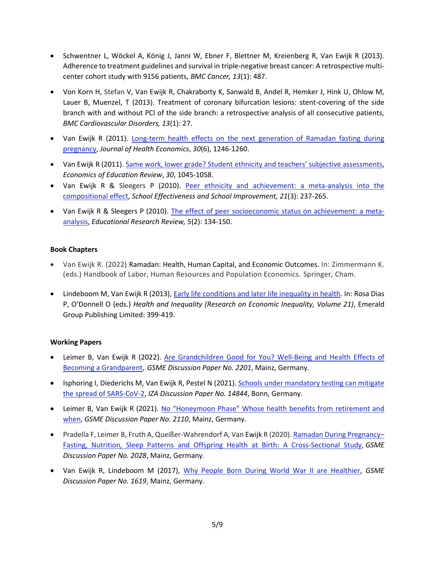- Schwentner L, Wöckel A, König J, Janni W, Ebner F, Blettner M, Kreienberg R, Van Ewijk R (2013). Adherence to treatment guidelines and survival in triple-negative breast cancer: A retrospective multicenter cohort study with 9156 patients, *BMC Cancer, 13*(1): 487.
- Von Korn H, Stefan V, Van Ewijk R, Chakraborty K, Sanwald B, Andel R, Hemker J, Hink U, Ohlow M, Lauer B, Muenzel, T (2013). Treatment of coronary bifurcation lesions: stent-covering of the side branch with and without PCI of the side branch: a retrospective analysis of all consecutive patients, *BMC Cardiovascular Disorders, 13*(1): 27.
- Van Ewijk R (2011). Long-term health effects on the next generation of Ramadan fasting during [pregnancy,](https://www.researchgate.net/publication/51654610_Long-Term_Health_Effects_on_the_Next_Generation_of_Ramadan_Fasting_During_Pregnancy) *Journal of Health Economics*, *30*(6), 1246-1260.
- Van Ewijk R (2011). Same work, lower grade? Student [ethnicity and teachers' subjective assessments](https://www.researchgate.net/publication/46466131_Same_work_lower_grade_Student_ethnicity_and_teachers%27_subjective_assessments), *Economics of Education Review*, *30*, 1045-1058.
- Van Ewijk R & Sleegers P (2010). Peer ethnicity and achievement: a meta-analysis into the [compositional effect,](https://www.researchgate.net/publication/46466139_Peer_Ethnicity_and_Achievement_a_Meta-analysis_Into_the_Compositional_Effect) *School Effectiveness and School Improvement, 21*(3): 237-265.
- Van Ewijk R & Sleegers P (2010). [The effect of peer socioeconomic status on achievement: a meta](https://www.researchgate.net/publication/46466142_The_effect_of_peer_socioeconomic_status_on_student_achievement_A_meta-analysis)[analysis,](https://www.researchgate.net/publication/46466142_The_effect_of_peer_socioeconomic_status_on_student_achievement_A_meta-analysis) *Educational Research Review, 5*(2): 134-150.

# **Book Chapters**

- Van Ewijk R. (2022) Ramadan: Health, Human Capital, and Economic Outcomes. In: Zimmermann K. (eds.) Handbook of Labor, Human Resources and Population Economics. Springer, Cham.
- Lindeboom M, Van Ewijk R (2013), Early life conditions [and later life inequality in health.](https://www.researchgate.net/profile/Reyn-Ewijk/publication/288094280_Early_Life_Conditions_and_Later_Life_Inequality_in_Health/links/596f33b70f7e9bee50e5b530/Early-Life-Conditions-and-Later-Life-Inequality-in-Health.pdf) In: Rosa Dias P, O'Donnell O (eds.) *Health and Inequality (Research on Economic Inequality, Volume 21)*, Emerald Group Publishing Limited: 399-419.

# **Working Papers**

- Leimer B, Van Ewijk R (2022). [Are Grandchildren Good for You? Well-Being and Health Effects of](https://download.uni-mainz.de/RePEc/pdf/Discussion_Paper_2201.pdf)  [Becoming a Grandparent](https://download.uni-mainz.de/RePEc/pdf/Discussion_Paper_2201.pdf), *GSME Discussion Paper No. 2201*, Mainz, Germany.
- Isphoring I, Diederichs M, Van Ewijk R, Pestel N (2021). Schools under mandatory testing can mitigate [the spread of SARS-CoV-2,](https://docs.iza.org/dp14844.pdf) *IZA Discussion Paper No. 14844*, Bonn, Germany.
- Leimer B, Van Ewijk R (2021). [No "Honeymoon Phase" Whose health benefits from retirement and](https://download.uni-mainz.de/RePEc/pdf/Discussion_Paper_2110.pdf)  [when,](https://download.uni-mainz.de/RePEc/pdf/Discussion_Paper_2110.pdf) *GSME Discussion Paper No. 2110*, Mainz, Germany.
- Pradella F, Leimer B, Fruth A, Queißer-Wahrendorf A, Van Ewijk R (2020). [Ramadan During Pregnancy](https://download.uni-mainz.de/RePEc/pdf/Discussion_Paper_2028.pdf) [Fasting, Nutrition, Sleep Patterns and Offspring Health at Birth: A Cross-Sectional Study,](https://download.uni-mainz.de/RePEc/pdf/Discussion_Paper_2028.pdf) *GSME Discussion Paper No. 2028*, Mainz, Germany.
- Van Ewijk R, Lindeboom M (2017), [Why People Born During World War II are Healthier,](https://download.uni-mainz.de/RePEc/pdf/Discussion_Paper_1619.pdf) *GSME Discussion Paper No. 1619*, Mainz, Germany.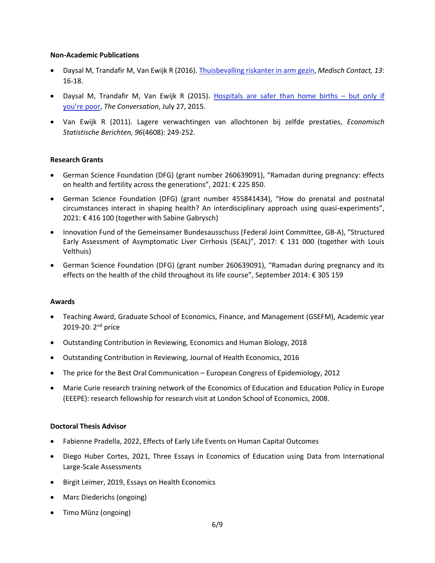#### **Non-Academic Publications**

- Daysal M, Trandafir M, Van Ewijk R (2016). [Thuisbevalling riskanter in arm gezin,](https://www.google.de/url?sa=t&rct=j&q=&esrc=s&source=web&cd=2&cad=rja&uact=8&ved=0ahUKEwj99NKe0erVAhXGaRQKHTP0BnoQFggsMAE&url=https%3A%2F%2Fwww.medischcontact.nl%2Fweb%2Ffile%3Fuuid%3D8eb9639f-9b2f-4c26-81af-8c254d45d032%26owner%3D43d57450-0c34-4acc-b45c-003c3f39e592&usg=AFQjCNEg0sXReAxw3W4HVHGP5CU_y3cQbg) *Medisch Contact, 13*: 16-18.
- Daysal M, Trandafir M, Van Ewijk R (2015). [Hospitals are safer than home births](http://theconversation.com/hospitals-are-safer-than-home-births-but-only-if-youre-poor-45003)  but only if [you're](http://theconversation.com/hospitals-are-safer-than-home-births-but-only-if-youre-poor-45003) poor, *The Conversation*, July 27, 2015.
- Van Ewijk R (2011). Lagere verwachtingen van allochtonen bij zelfde prestaties, *Economisch Statistische Berichten, 96*(4608): 249-252.

# **Research Grants**

- German Science Foundation (DFG) (grant number 260639091), "Ramadan during pregnancy: effects on health and fertility across the generations", 2021: € 225 850.
- German Science Foundation (DFG) (grant number 455841434), "How do prenatal and postnatal circumstances interact in shaping health? An interdisciplinary approach using quasi-experiments", 2021: € 416 100 (together with Sabine Gabrysch)
- Innovation Fund of the Gemeinsamer Bundesausschuss (Federal Joint Committee, GB-A), "Structured Early Assessment of Asymptomatic Liver Cirrhosis (SEAL)", 2017:  $\epsilon$  131 000 (together with Louis Velthuis)
- German Science Foundation (DFG) (grant number 260639091), "Ramadan during pregnancy and its effects on the health of the child throughout its life course", September 2014: € 305 159

# **Awards**

- Teaching Award, Graduate School of Economics, Finance, and Management (GSEFM), Academic year 2019-20: 2<sup>nd</sup> price
- Outstanding Contribution in Reviewing, Economics and Human Biology, 2018
- Outstanding Contribution in Reviewing, Journal of Health Economics, 2016
- The price for the Best Oral Communication European Congress of Epidemiology, 2012
- Marie Curie research training network of the Economics of Education and Education Policy in Europe (EEEPE): research fellowship for research visit at London School of Economics, 2008.

# **Doctoral Thesis Advisor**

- Fabienne Pradella, 2022, Effects of Early Life Events on Human Capital Outcomes
- Diego Huber Cortes, 2021, Three Essays in Economics of Education using Data from International Large-Scale Assessments
- Birgit Leimer, 2019, Essays on Health Economics
- Marc Diederichs (ongoing)
- Timo Münz (ongoing)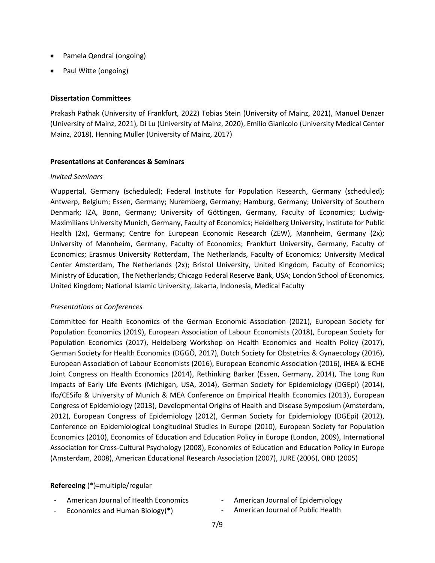- Pamela Qendrai (ongoing)
- Paul Witte (ongoing)

#### **Dissertation Committees**

Prakash Pathak (University of Frankfurt, 2022) Tobias Stein (University of Mainz, 2021), Manuel Denzer (University of Mainz, 2021), Di Lu (University of Mainz, 2020), Emilio Gianicolo (University Medical Center Mainz, 2018), Henning Müller (University of Mainz, 2017)

#### **Presentations at Conferences & Seminars**

#### *Invited Seminars*

Wuppertal, Germany (scheduled); Federal Institute for Population Research, Germany (scheduled); Antwerp, Belgium; Essen, Germany; Nuremberg, Germany; Hamburg, Germany; University of Southern Denmark; IZA, Bonn, Germany; University of Göttingen, Germany, Faculty of Economics; Ludwig-Maximilians University Munich, Germany, Faculty of Economics; Heidelberg University, Institute for Public Health (2x), Germany; Centre for European Economic Research (ZEW), Mannheim, Germany (2x); University of Mannheim, Germany, Faculty of Economics; Frankfurt University, Germany, Faculty of Economics; Erasmus University Rotterdam, The Netherlands, Faculty of Economics; University Medical Center Amsterdam, The Netherlands (2x); Bristol University, United Kingdom, Faculty of Economics; Ministry of Education, The Netherlands; Chicago Federal Reserve Bank, USA; London School of Economics, United Kingdom; National Islamic University, Jakarta, Indonesia, Medical Faculty

# *Presentations at Conferences*

Committee for Health Economics of the German Economic Association (2021), European Society for Population Economics (2019), European Association of Labour Economists (2018), European Society for Population Economics (2017), Heidelberg Workshop on Health Economics and Health Policy (2017), German Society for Health Economics (DGGÖ, 2017), Dutch Society for Obstetrics & Gynaecology (2016), European Association of Labour Economists (2016), European Economic Association (2016), iHEA & ECHE Joint Congress on Health Economics (2014), Rethinking Barker (Essen, Germany, 2014), The Long Run Impacts of Early Life Events (Michigan, USA, 2014), German Society for Epidemiology (DGEpi) (2014), Ifo/CESifo & University of Munich & MEA Conference on Empirical Health Economics (2013), European Congress of Epidemiology (2013), Developmental Origins of Health and Disease Symposium (Amsterdam, 2012), European Congress of Epidemiology (2012), German Society for Epidemiology (DGEpi) (2012), [Conference on Epidemiological Longitudinal Studies in Europe](http://kelo.oulu.fi/CELSE/) (2010), European Society for Population Economics (2010), Economics of Education and Education Policy in Europe (London, 2009), International Association for Cross-Cultural Psychology (2008), Economics of Education and Education Policy in Europe (Amsterdam, 2008), American Educational Research Association (2007), JURE (2006), ORD (2005)

# **Refereeing** (\*)=multiple/regular

- American Journal of Health Economics
- Economics and Human Biology(\*)
- American Journal of Epidemiology
- American Journal of Public Health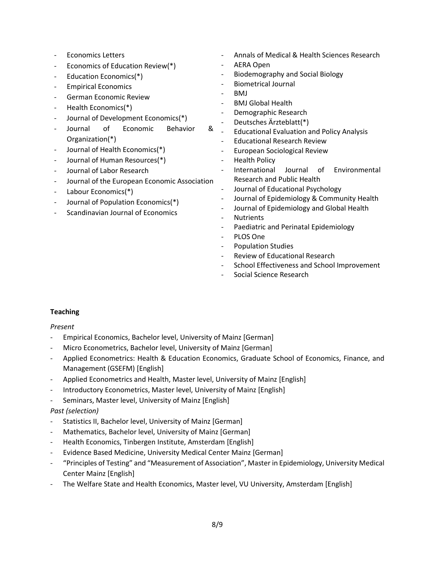- Economics Letters
- Economics of Education Review(\*)
- Education Economics(\*)
- Empirical Economics
- German Economic Review
- Health Economics(\*)
- Journal of Development Economics(\*)
- Journal of Economic Behavior & Organization(\*)
- Journal of Health Economics(\*)
- Journal of Human Resources(\*)
- Journal of Labor Research
- Journal of the European Economic Association
- Labour Economics(\*)
- Journal of Population Economics(\*)
- Scandinavian Journal of Economics
- Annals of Medical & Health Sciences Research
- AERA Open
- Biodemography and Social Biology
- Biometrical Journal
- BMJ
- BMJ Global Health
- Demographic Research
- Deutsches Ärzteblatt(\*)
- Educational Evaluation and Policy Analysis
- Educational Research Review
- European Sociological Review
- **Health Policy**
- International Journal of Environmental Research and Public Health
- Journal of Educational Psychology
- Journal of Epidemiology & Community Health
- Journal of Epidemiology and Global Health
- **Nutrients**
- Paediatric and Perinatal Epidemiology
- PLOS One
- Population Studies
- Review of Educational Research
- School Effectiveness and School Improvement
- Social Science Research

# **Teaching**

*Present*

- Empirical Economics, Bachelor level, University of Mainz [German]
- Micro Econometrics, Bachelor level, University of Mainz [German]
- Applied Econometrics: Health & Education Economics, Graduate School of Economics, Finance, and Management (GSEFM) [English]
- Applied Econometrics and Health, Master level, University of Mainz [English]
- Introductory Econometrics, Master level, University of Mainz [English]
- Seminars, Master level, University of Mainz [English]

# *Past (selection)*

- Statistics II, Bachelor level, University of Mainz [German]
- Mathematics, Bachelor level, University of Mainz [German]
- Health Economics, Tinbergen Institute, Amsterdam [English]
- Evidence Based Medicine, University Medical Center Mainz [German]
- "Principles of Testing" and "Measurement of Association", Master in Epidemiology, University Medical Center Mainz [English]
- The Welfare State and Health Economics, Master level, VU University, Amsterdam [English]